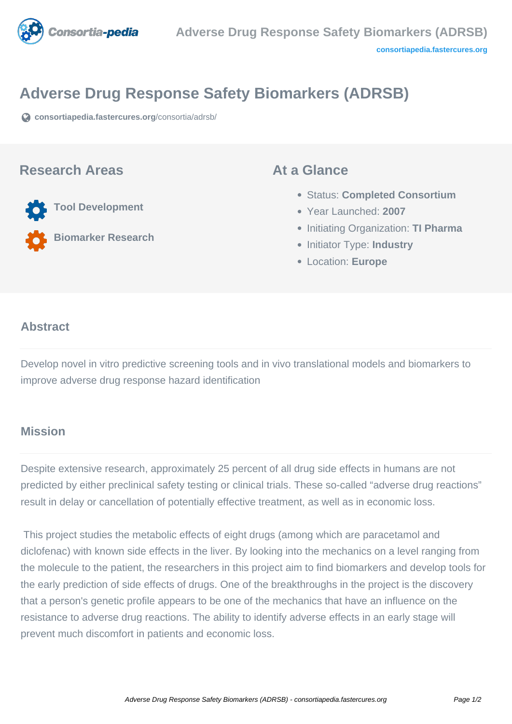

# **Adverse Drug Response Safety Biomarkers (ADRSB)**

**[consortiapedia.fastercures.org](https://consortiapedia.fastercures.org/consortia/adrsb/)**[/consortia/adrsb/](https://consortiapedia.fastercures.org/consortia/adrsb/)

#### **Research Areas**

**Tool Development**

**Biomarker Research**

#### **At a Glance**

- Status: **Completed Consortium**
- Year Launched: **2007**
- **Initiating Organization: TI Pharma**
- **Initiator Type: Industry**
- Location: **Europe**

#### $\overline{\phantom{a}}$ **Abstract**

Develop novel in vitro predictive screening tools and in vivo translational models and biomarkers to improve adverse drug response hazard identification

## **Mission**

Despite extensive research, approximately 25 percent of all drug side effects in humans are not predicted by either preclinical safety testing or clinical trials. These so-called "adverse drug reactions" result in delay or cancellation of potentially effective treatment, as well as in economic loss.

 This project studies the metabolic effects of eight drugs (among which are paracetamol and diclofenac) with known side effects in the liver. By looking into the mechanics on a level ranging from the molecule to the patient, the researchers in this project aim to find biomarkers and develop tools for the early prediction of side effects of drugs. One of the breakthroughs in the project is the discovery that a person's genetic profile appears to be one of the mechanics that have an influence on the resistance to adverse drug reactions. The ability to identify adverse effects in an early stage will prevent much discomfort in patients and economic loss.